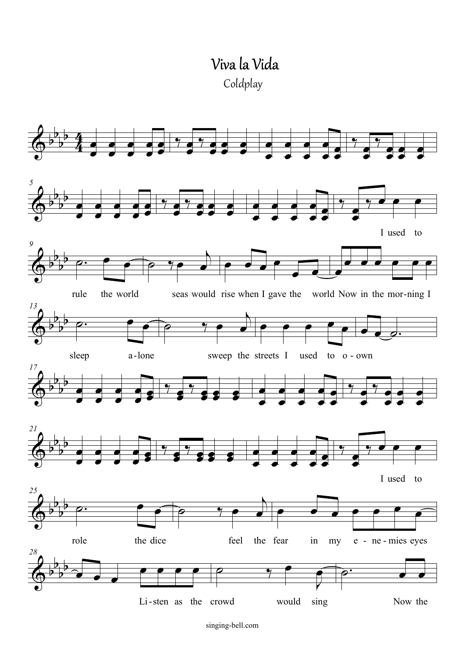Viva la Vida Coldplay